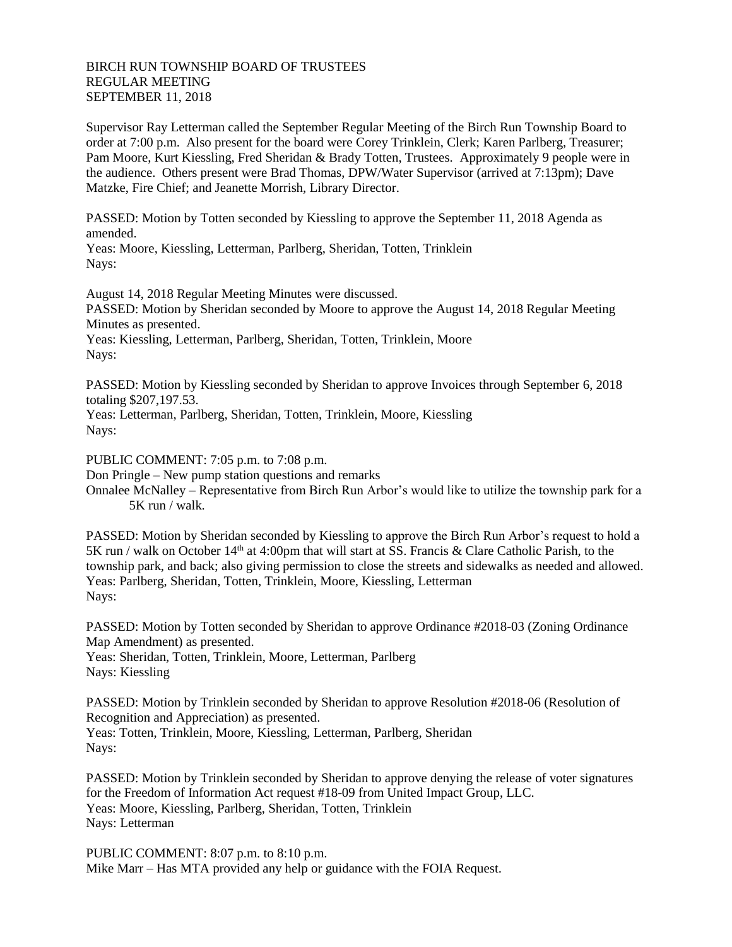## BIRCH RUN TOWNSHIP BOARD OF TRUSTEES REGULAR MEETING SEPTEMBER 11, 2018

Supervisor Ray Letterman called the September Regular Meeting of the Birch Run Township Board to order at 7:00 p.m. Also present for the board were Corey Trinklein, Clerk; Karen Parlberg, Treasurer; Pam Moore, Kurt Kiessling, Fred Sheridan & Brady Totten, Trustees. Approximately 9 people were in the audience. Others present were Brad Thomas, DPW/Water Supervisor (arrived at 7:13pm); Dave Matzke, Fire Chief; and Jeanette Morrish, Library Director.

PASSED: Motion by Totten seconded by Kiessling to approve the September 11, 2018 Agenda as amended.

Yeas: Moore, Kiessling, Letterman, Parlberg, Sheridan, Totten, Trinklein Nays:

August 14, 2018 Regular Meeting Minutes were discussed. PASSED: Motion by Sheridan seconded by Moore to approve the August 14, 2018 Regular Meeting Minutes as presented.

Yeas: Kiessling, Letterman, Parlberg, Sheridan, Totten, Trinklein, Moore Nays:

PASSED: Motion by Kiessling seconded by Sheridan to approve Invoices through September 6, 2018 totaling \$207,197.53.

Yeas: Letterman, Parlberg, Sheridan, Totten, Trinklein, Moore, Kiessling Nays:

PUBLIC COMMENT: 7:05 p.m. to 7:08 p.m.

Don Pringle – New pump station questions and remarks

Onnalee McNalley – Representative from Birch Run Arbor's would like to utilize the township park for a 5K run / walk.

PASSED: Motion by Sheridan seconded by Kiessling to approve the Birch Run Arbor's request to hold a 5K run / walk on October  $14<sup>th</sup>$  at 4:00pm that will start at SS. Francis & Clare Catholic Parish, to the township park, and back; also giving permission to close the streets and sidewalks as needed and allowed. Yeas: Parlberg, Sheridan, Totten, Trinklein, Moore, Kiessling, Letterman Nays:

PASSED: Motion by Totten seconded by Sheridan to approve Ordinance #2018-03 (Zoning Ordinance Map Amendment) as presented.

Yeas: Sheridan, Totten, Trinklein, Moore, Letterman, Parlberg Nays: Kiessling

PASSED: Motion by Trinklein seconded by Sheridan to approve Resolution #2018-06 (Resolution of Recognition and Appreciation) as presented. Yeas: Totten, Trinklein, Moore, Kiessling, Letterman, Parlberg, Sheridan Nays:

PASSED: Motion by Trinklein seconded by Sheridan to approve denying the release of voter signatures for the Freedom of Information Act request #18-09 from United Impact Group, LLC. Yeas: Moore, Kiessling, Parlberg, Sheridan, Totten, Trinklein Nays: Letterman

PUBLIC COMMENT: 8:07 p.m. to 8:10 p.m. Mike Marr – Has MTA provided any help or guidance with the FOIA Request.